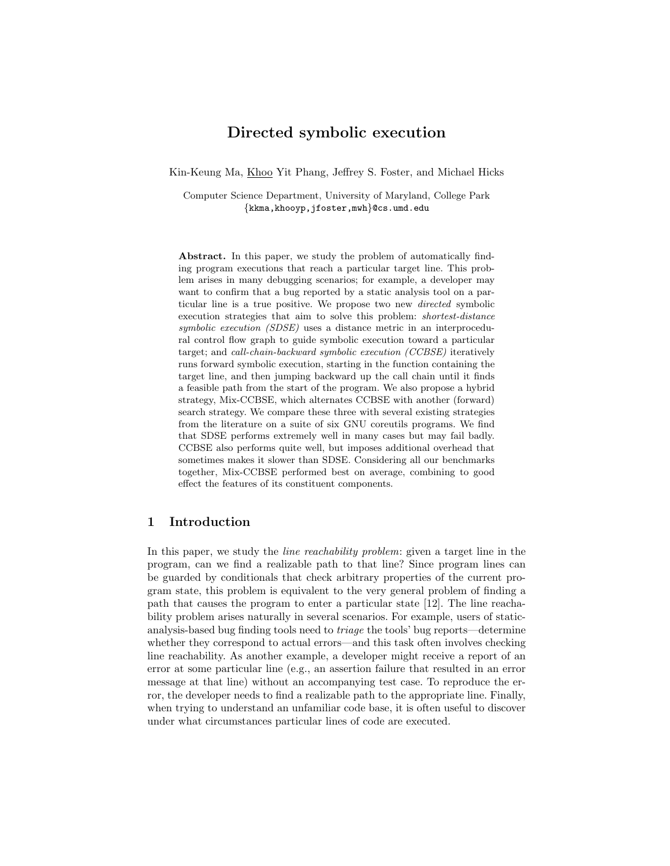# Directed symbolic execution

Kin-Keung Ma, Khoo Yit Phang, Jeffrey S. Foster, and Michael Hicks

Computer Science Department, University of Maryland, College Park {kkma,khooyp,jfoster,mwh}@cs.umd.edu

Abstract. In this paper, we study the problem of automatically finding program executions that reach a particular target line. This problem arises in many debugging scenarios; for example, a developer may want to confirm that a bug reported by a static analysis tool on a particular line is a true positive. We propose two new directed symbolic execution strategies that aim to solve this problem: shortest-distance symbolic execution (SDSE) uses a distance metric in an interprocedural control flow graph to guide symbolic execution toward a particular target; and call-chain-backward symbolic execution (CCBSE) iteratively runs forward symbolic execution, starting in the function containing the target line, and then jumping backward up the call chain until it finds a feasible path from the start of the program. We also propose a hybrid strategy, Mix-CCBSE, which alternates CCBSE with another (forward) search strategy. We compare these three with several existing strategies from the literature on a suite of six GNU coreutils programs. We find that SDSE performs extremely well in many cases but may fail badly. CCBSE also performs quite well, but imposes additional overhead that sometimes makes it slower than SDSE. Considering all our benchmarks together, Mix-CCBSE performed best on average, combining to good effect the features of its constituent components.

### 1 Introduction

In this paper, we study the line reachability problem: given a target line in the program, can we find a realizable path to that line? Since program lines can be guarded by conditionals that check arbitrary properties of the current program state, this problem is equivalent to the very general problem of finding a path that causes the program to enter a particular state [12]. The line reachability problem arises naturally in several scenarios. For example, users of staticanalysis-based bug finding tools need to triage the tools' bug reports—determine whether they correspond to actual errors—and this task often involves checking line reachability. As another example, a developer might receive a report of an error at some particular line (e.g., an assertion failure that resulted in an error message at that line) without an accompanying test case. To reproduce the error, the developer needs to find a realizable path to the appropriate line. Finally, when trying to understand an unfamiliar code base, it is often useful to discover under what circumstances particular lines of code are executed.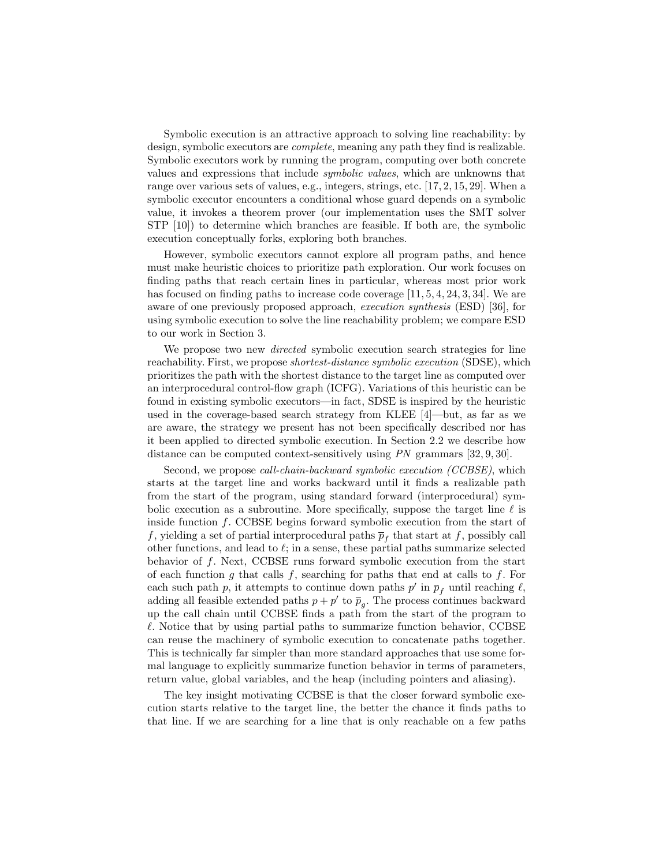Symbolic execution is an attractive approach to solving line reachability: by design, symbolic executors are complete, meaning any path they find is realizable. Symbolic executors work by running the program, computing over both concrete values and expressions that include symbolic values, which are unknowns that range over various sets of values, e.g., integers, strings, etc. [17, 2, 15, 29]. When a symbolic executor encounters a conditional whose guard depends on a symbolic value, it invokes a theorem prover (our implementation uses the SMT solver STP [10]) to determine which branches are feasible. If both are, the symbolic execution conceptually forks, exploring both branches.

However, symbolic executors cannot explore all program paths, and hence must make heuristic choices to prioritize path exploration. Our work focuses on finding paths that reach certain lines in particular, whereas most prior work has focused on finding paths to increase code coverage [11, 5, 4, 24, 3, 34]. We are aware of one previously proposed approach, execution synthesis (ESD) [36], for using symbolic execution to solve the line reachability problem; we compare ESD to our work in Section 3.

We propose two new *directed* symbolic execution search strategies for line reachability. First, we propose *shortest-distance symbolic execution* (SDSE), which prioritizes the path with the shortest distance to the target line as computed over an interprocedural control-flow graph (ICFG). Variations of this heuristic can be found in existing symbolic executors—in fact, SDSE is inspired by the heuristic used in the coverage-based search strategy from KLEE [4]—but, as far as we are aware, the strategy we present has not been specifically described nor has it been applied to directed symbolic execution. In Section 2.2 we describe how distance can be computed context-sensitively using PN grammars [32, 9, 30].

Second, we propose *call-chain-backward symbolic execution (CCBSE)*, which starts at the target line and works backward until it finds a realizable path from the start of the program, using standard forward (interprocedural) symbolic execution as a subroutine. More specifically, suppose the target line  $\ell$  is inside function  $f$ . CCBSE begins forward symbolic execution from the start of f, yielding a set of partial interprocedural paths  $\overline{p}_f$  that start at f, possibly call other functions, and lead to  $\ell$ ; in a sense, these partial paths summarize selected behavior of f. Next, CCBSE runs forward symbolic execution from the start of each function g that calls f, searching for paths that end at calls to f. For each such path p, it attempts to continue down paths  $p'$  in  $\overline{p}_f$  until reaching  $\ell$ , adding all feasible extended paths  $p + p'$  to  $\overline{p}_g$ . The process continues backward up the call chain until CCBSE finds a path from the start of the program to  $\ell$ . Notice that by using partial paths to summarize function behavior, CCBSE can reuse the machinery of symbolic execution to concatenate paths together. This is technically far simpler than more standard approaches that use some formal language to explicitly summarize function behavior in terms of parameters, return value, global variables, and the heap (including pointers and aliasing).

The key insight motivating CCBSE is that the closer forward symbolic execution starts relative to the target line, the better the chance it finds paths to that line. If we are searching for a line that is only reachable on a few paths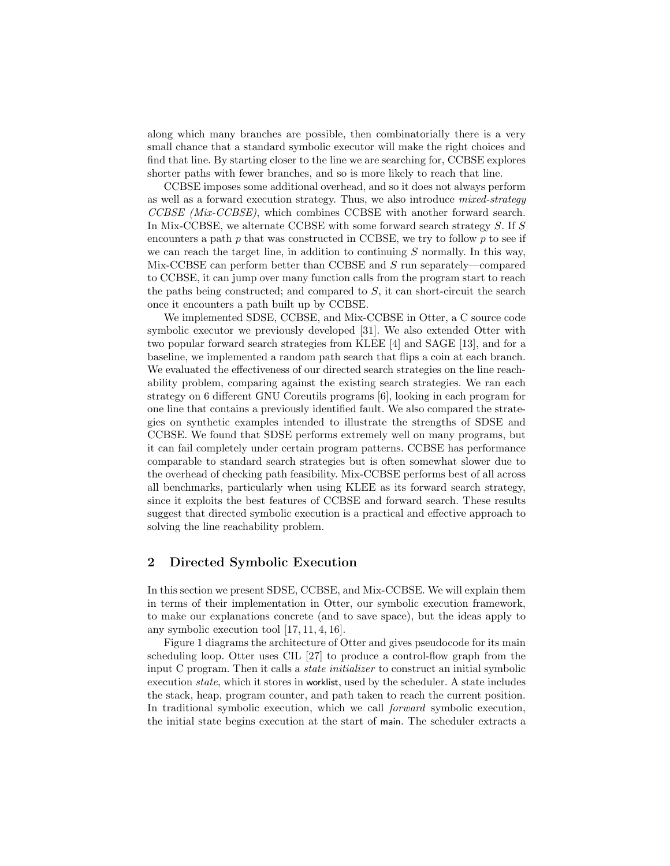along which many branches are possible, then combinatorially there is a very small chance that a standard symbolic executor will make the right choices and find that line. By starting closer to the line we are searching for, CCBSE explores shorter paths with fewer branches, and so is more likely to reach that line.

CCBSE imposes some additional overhead, and so it does not always perform as well as a forward execution strategy. Thus, we also introduce mixed-strategy CCBSE (Mix-CCBSE), which combines CCBSE with another forward search. In Mix-CCBSE, we alternate CCBSE with some forward search strategy S. If S encounters a path  $p$  that was constructed in CCBSE, we try to follow  $p$  to see if we can reach the target line, in addition to continuing  $S$  normally. In this way, Mix-CCBSE can perform better than CCBSE and S run separately—compared to CCBSE, it can jump over many function calls from the program start to reach the paths being constructed; and compared to  $S$ , it can short-circuit the search once it encounters a path built up by CCBSE.

We implemented SDSE, CCBSE, and Mix-CCBSE in Otter, a C source code symbolic executor we previously developed [31]. We also extended Otter with two popular forward search strategies from KLEE [4] and SAGE [13], and for a baseline, we implemented a random path search that flips a coin at each branch. We evaluated the effectiveness of our directed search strategies on the line reachability problem, comparing against the existing search strategies. We ran each strategy on 6 different GNU Coreutils programs [6], looking in each program for one line that contains a previously identified fault. We also compared the strategies on synthetic examples intended to illustrate the strengths of SDSE and CCBSE. We found that SDSE performs extremely well on many programs, but it can fail completely under certain program patterns. CCBSE has performance comparable to standard search strategies but is often somewhat slower due to the overhead of checking path feasibility. Mix-CCBSE performs best of all across all benchmarks, particularly when using KLEE as its forward search strategy, since it exploits the best features of CCBSE and forward search. These results suggest that directed symbolic execution is a practical and effective approach to solving the line reachability problem.

# 2 Directed Symbolic Execution

In this section we present SDSE, CCBSE, and Mix-CCBSE. We will explain them in terms of their implementation in Otter, our symbolic execution framework, to make our explanations concrete (and to save space), but the ideas apply to any symbolic execution tool [17, 11, 4, 16].

Figure 1 diagrams the architecture of Otter and gives pseudocode for its main scheduling loop. Otter uses CIL [27] to produce a control-flow graph from the input C program. Then it calls a state initializer to construct an initial symbolic execution state, which it stores in worklist, used by the scheduler. A state includes the stack, heap, program counter, and path taken to reach the current position. In traditional symbolic execution, which we call forward symbolic execution, the initial state begins execution at the start of main. The scheduler extracts a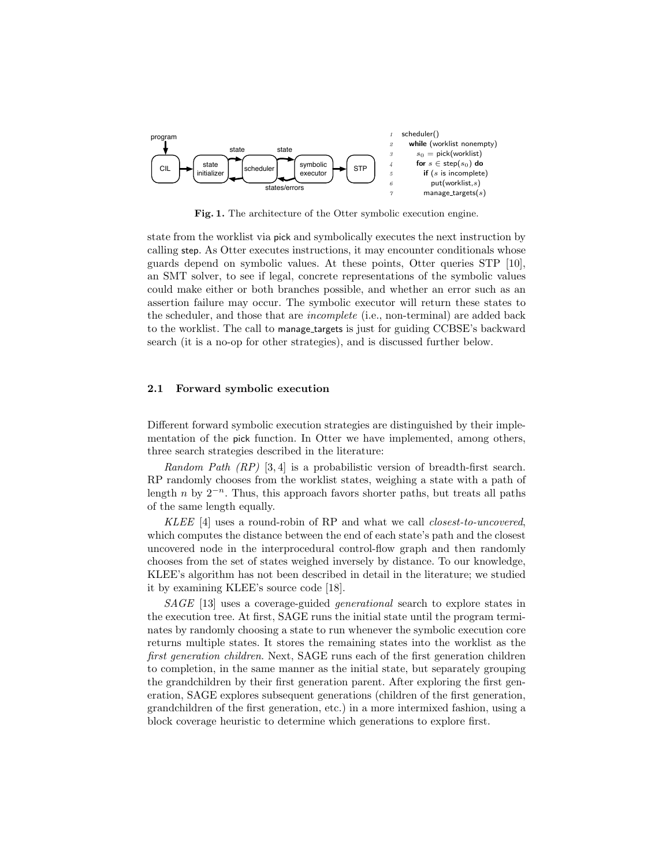

Fig. 1. The architecture of the Otter symbolic execution engine.

state from the worklist via pick and symbolically executes the next instruction by calling step. As Otter executes instructions, it may encounter conditionals whose guards depend on symbolic values. At these points, Otter queries STP [10], an SMT solver, to see if legal, concrete representations of the symbolic values could make either or both branches possible, and whether an error such as an assertion failure may occur. The symbolic executor will return these states to the scheduler, and those that are incomplete (i.e., non-terminal) are added back to the worklist. The call to manage targets is just for guiding CCBSE's backward search (it is a no-op for other strategies), and is discussed further below.

#### 2.1 Forward symbolic execution

Different forward symbolic execution strategies are distinguished by their implementation of the pick function. In Otter we have implemented, among others, three search strategies described in the literature:

Random Path  $(RP)$  [3, 4] is a probabilistic version of breadth-first search. RP randomly chooses from the worklist states, weighing a state with a path of length *n* by  $2^{-n}$ . Thus, this approach favors shorter paths, but treats all paths of the same length equally.

KLEE [4] uses a round-robin of RP and what we call *closest-to-uncovered*, which computes the distance between the end of each state's path and the closest uncovered node in the interprocedural control-flow graph and then randomly chooses from the set of states weighed inversely by distance. To our knowledge, KLEE's algorithm has not been described in detail in the literature; we studied it by examining KLEE's source code [18].

SAGE [13] uses a coverage-guided generational search to explore states in the execution tree. At first, SAGE runs the initial state until the program terminates by randomly choosing a state to run whenever the symbolic execution core returns multiple states. It stores the remaining states into the worklist as the first generation children. Next, SAGE runs each of the first generation children to completion, in the same manner as the initial state, but separately grouping the grandchildren by their first generation parent. After exploring the first generation, SAGE explores subsequent generations (children of the first generation, grandchildren of the first generation, etc.) in a more intermixed fashion, using a block coverage heuristic to determine which generations to explore first.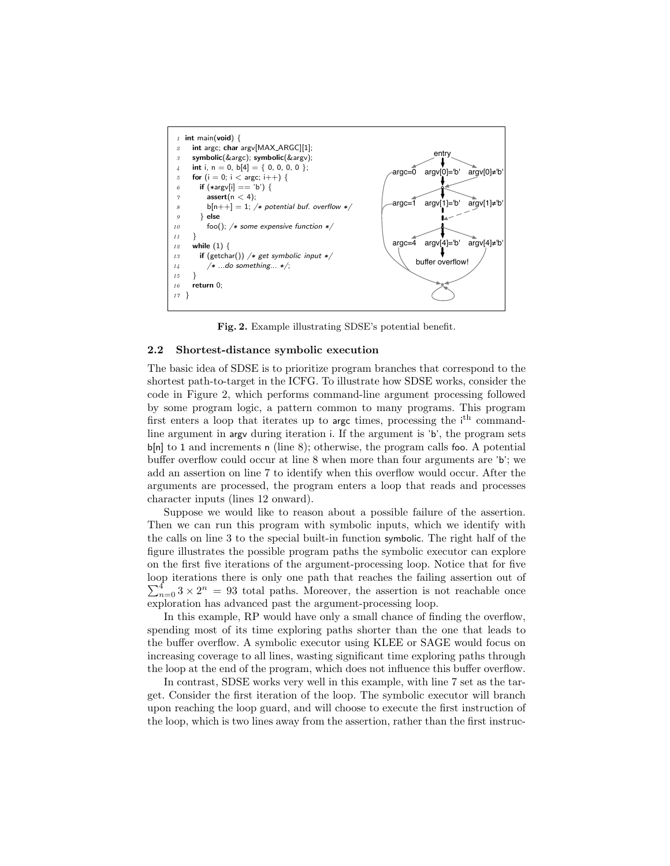

Fig. 2. Example illustrating SDSE's potential benefit.

#### 2.2 Shortest-distance symbolic execution

The basic idea of SDSE is to prioritize program branches that correspond to the shortest path-to-target in the ICFG. To illustrate how SDSE works, consider the code in Figure 2, which performs command-line argument processing followed by some program logic, a pattern common to many programs. This program first enters a loop that iterates up to argc times, processing the i<sup>th</sup> commandline argument in argv during iteration i. If the argument is 'b', the program sets  $\mathsf{b}[n]$  to 1 and increments n (line 8); otherwise, the program calls foo. A potential buffer overflow could occur at line 8 when more than four arguments are 'b'; we add an assertion on line 7 to identify when this overflow would occur. After the arguments are processed, the program enters a loop that reads and processes character inputs (lines 12 onward).

Suppose we would like to reason about a possible failure of the assertion. Then we can run this program with symbolic inputs, which we identify with the calls on line 3 to the special built-in function symbolic. The right half of the figure illustrates the possible program paths the symbolic executor can explore on the first five iterations of the argument-processing loop. Notice that for five loop iterations there is only one path that reaches the failing assertion out of  $\sum_{n=0}^{4} 3 \times 2^{n} = 93$  total paths. Moreover, the assertion is not reachable once exploration has advanced past the argument-processing loop.

In this example, RP would have only a small chance of finding the overflow, spending most of its time exploring paths shorter than the one that leads to the buffer overflow. A symbolic executor using KLEE or SAGE would focus on increasing coverage to all lines, wasting significant time exploring paths through the loop at the end of the program, which does not influence this buffer overflow.

In contrast, SDSE works very well in this example, with line 7 set as the target. Consider the first iteration of the loop. The symbolic executor will branch upon reaching the loop guard, and will choose to execute the first instruction of the loop, which is two lines away from the assertion, rather than the first instruc-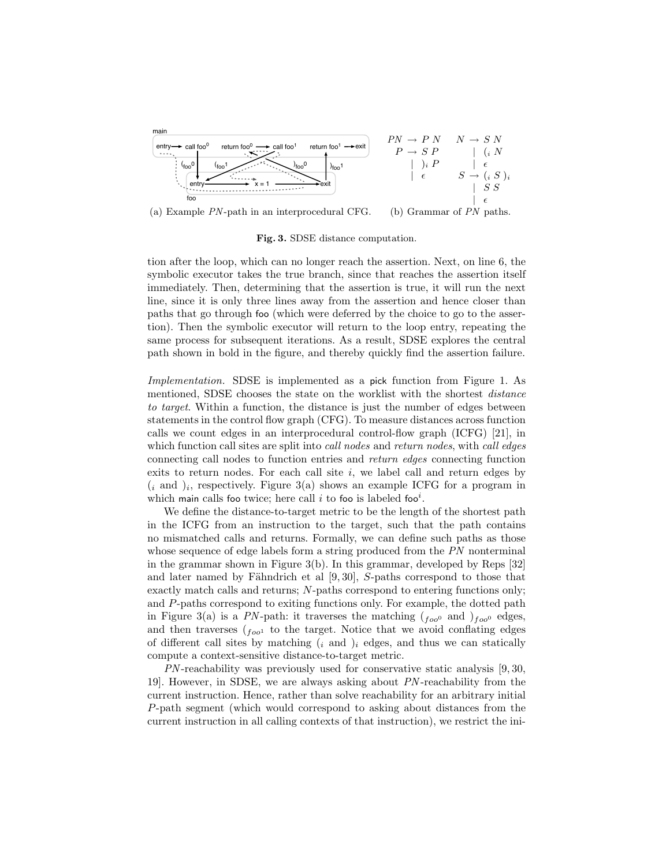

Fig. 3. SDSE distance computation.

tion after the loop, which can no longer reach the assertion. Next, on line 6, the symbolic executor takes the true branch, since that reaches the assertion itself immediately. Then, determining that the assertion is true, it will run the next line, since it is only three lines away from the assertion and hence closer than paths that go through foo (which were deferred by the choice to go to the assertion). Then the symbolic executor will return to the loop entry, repeating the same process for subsequent iterations. As a result, SDSE explores the central path shown in bold in the figure, and thereby quickly find the assertion failure.

Implementation. SDSE is implemented as a pick function from Figure 1. As mentioned, SDSE chooses the state on the worklist with the shortest *distance* to target. Within a function, the distance is just the number of edges between statements in the control flow graph (CFG). To measure distances across function calls we count edges in an interprocedural control-flow graph (ICFG) [21], in which function call sites are split into *call nodes* and *return nodes*, with *call edges* connecting call nodes to function entries and return edges connecting function exits to return nodes. For each call site  $i$ , we label call and return edges by  $(i \text{ and } )_i$ , respectively. Figure 3(a) shows an example ICFG for a program in which main calls foo twice; here call i to foo is labeled foo<sup>i</sup>.

We define the distance-to-target metric to be the length of the shortest path in the ICFG from an instruction to the target, such that the path contains no mismatched calls and returns. Formally, we can define such paths as those whose sequence of edge labels form a string produced from the PN nonterminal in the grammar shown in Figure 3(b). In this grammar, developed by Reps [32] and later named by Fähndrich et al  $[9, 30]$ , S-paths correspond to those that exactly match calls and returns; N-paths correspond to entering functions only; and P-paths correspond to exiting functions only. For example, the dotted path in Figure 3(a) is a PN-path: it traverses the matching  $\left(f_{oo^0}\right)$  and  $\left(f_{oo^0}\right)$  edges, and then traverses ( $_{foo}$  to the target. Notice that we avoid conflating edges of different call sites by matching  $(i \text{ and } )_i$  edges, and thus we can statically compute a context-sensitive distance-to-target metric.

PN -reachability was previously used for conservative static analysis [9, 30, 19]. However, in SDSE, we are always asking about PN -reachability from the current instruction. Hence, rather than solve reachability for an arbitrary initial P-path segment (which would correspond to asking about distances from the current instruction in all calling contexts of that instruction), we restrict the ini-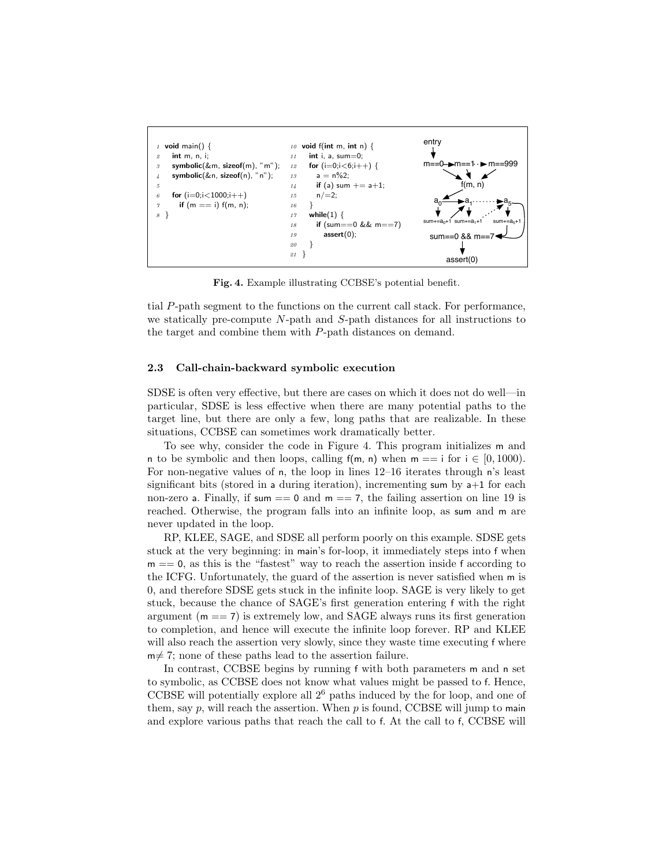

Fig. 4. Example illustrating CCBSE's potential benefit.

tial P-path segment to the functions on the current call stack. For performance, we statically pre-compute N-path and S-path distances for all instructions to the target and combine them with P-path distances on demand.

### 2.3 Call-chain-backward symbolic execution

SDSE is often very effective, but there are cases on which it does not do well—in particular, SDSE is less effective when there are many potential paths to the target line, but there are only a few, long paths that are realizable. In these situations, CCBSE can sometimes work dramatically better.

To see why, consider the code in Figure 4. This program initializes m and n to be symbolic and then loops, calling  $f(m, n)$  when  $m == i$  for  $i \in [0, 1000)$ . For non-negative values of n, the loop in lines 12–16 iterates through n's least significant bits (stored in a during iteration), incrementing sum by  $a+1$  for each non-zero a. Finally, if sum  $== 0$  and  $m == 7$ , the failing assertion on line 19 is reached. Otherwise, the program falls into an infinite loop, as sum and m are never updated in the loop.

RP, KLEE, SAGE, and SDSE all perform poorly on this example. SDSE gets stuck at the very beginning: in main's for-loop, it immediately steps into f when  $m == 0$ , as this is the "fastest" way to reach the assertion inside f according to the ICFG. Unfortunately, the guard of the assertion is never satisfied when m is 0, and therefore SDSE gets stuck in the infinite loop. SAGE is very likely to get stuck, because the chance of SAGE's first generation entering f with the right argument  $(m == 7)$  is extremely low, and SAGE always runs its first generation to completion, and hence will execute the infinite loop forever. RP and KLEE will also reach the assertion very slowly, since they waste time executing f where  $m \neq 7$ ; none of these paths lead to the assertion failure.

In contrast, CCBSE begins by running f with both parameters m and n set to symbolic, as CCBSE does not know what values might be passed to f. Hence, CCBSE will potentially explore all  $2<sup>6</sup>$  paths induced by the for loop, and one of them, say  $p$ , will reach the assertion. When  $p$  is found, CCBSE will jump to main and explore various paths that reach the call to f. At the call to f, CCBSE will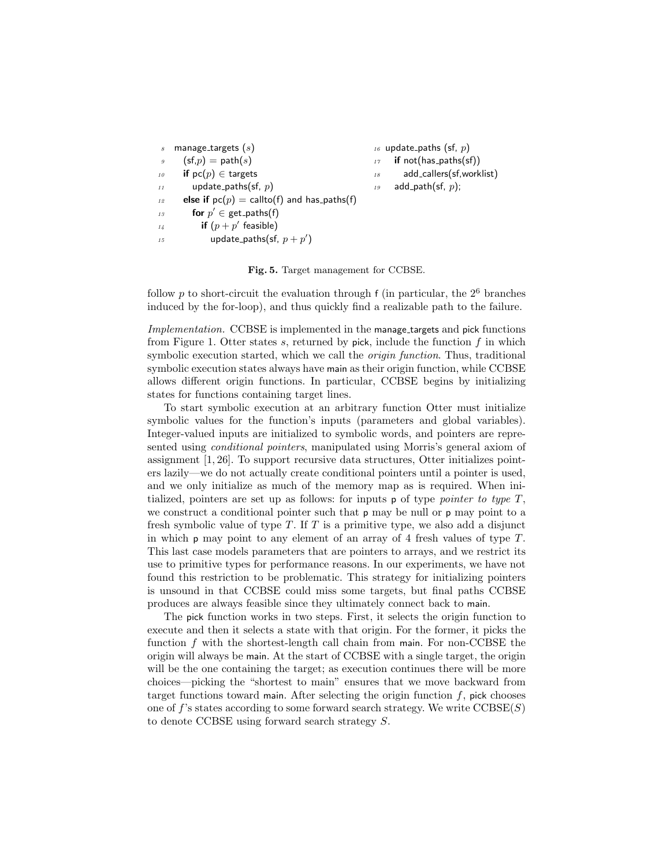```
manage_targets (s)(sf,p) = path(s)10 if pc(p) \in targets
11 update_paths(sf, p)
12 else if pc(p) = callto(f) and has paths(f)
13 for p' \in \text{get-paths}(f)\int_{14}^{14} if (p+p) feasible)
15 update_paths(sf, p + p')
                                                 16 update_paths (sf, p)
                                                 17 if not(has_paths(sf))
                                                 18 add_callers(sf, worklist)
                                                 19 add_path(sf, p);
```
Fig. 5. Target management for CCBSE.

follow p to short-circuit the evaluation through  $f$  (in particular, the  $2^6$  branches induced by the for-loop), and thus quickly find a realizable path to the failure.

Implementation. CCBSE is implemented in the manage\_targets and pick functions from Figure 1. Otter states  $s$ , returned by pick, include the function  $f$  in which symbolic execution started, which we call the *origin function*. Thus, traditional symbolic execution states always have main as their origin function, while CCBSE allows different origin functions. In particular, CCBSE begins by initializing states for functions containing target lines.

To start symbolic execution at an arbitrary function Otter must initialize symbolic values for the function's inputs (parameters and global variables). Integer-valued inputs are initialized to symbolic words, and pointers are represented using conditional pointers, manipulated using Morris's general axiom of assignment [1, 26]. To support recursive data structures, Otter initializes pointers lazily—we do not actually create conditional pointers until a pointer is used, and we only initialize as much of the memory map as is required. When initialized, pointers are set up as follows: for inputs  $p$  of type *pointer to type T*, we construct a conditional pointer such that p may be null or p may point to a fresh symbolic value of type  $T$ . If  $T$  is a primitive type, we also add a disjunct in which  $p$  may point to any element of an array of 4 fresh values of type  $T$ . This last case models parameters that are pointers to arrays, and we restrict its use to primitive types for performance reasons. In our experiments, we have not found this restriction to be problematic. This strategy for initializing pointers is unsound in that CCBSE could miss some targets, but final paths CCBSE produces are always feasible since they ultimately connect back to main.

The pick function works in two steps. First, it selects the origin function to execute and then it selects a state with that origin. For the former, it picks the function  $f$  with the shortest-length call chain from main. For non-CCBSE the origin will always be main. At the start of CCBSE with a single target, the origin will be the one containing the target; as execution continues there will be more choices—picking the "shortest to main" ensures that we move backward from target functions toward main. After selecting the origin function  $f$ , pick chooses one of  $f$ 's states according to some forward search strategy. We write  $\mathrm{CCBSE}(S)$ to denote CCBSE using forward search strategy S.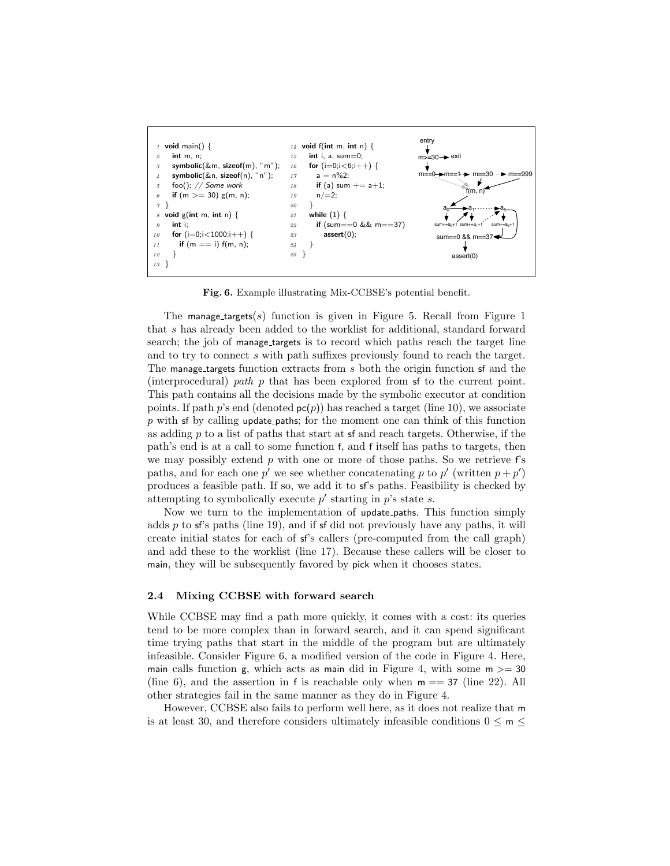

Fig. 6. Example illustrating Mix-CCBSE's potential benefit.

The manage\_targets $(s)$  function is given in Figure 5. Recall from Figure 1 that s has already been added to the worklist for additional, standard forward search; the job of manage targets is to record which paths reach the target line and to try to connect s with path suffixes previously found to reach the target. The manage targets function extracts from s both the origin function of and the (interprocedural) path p that has been explored from sf to the current point. This path contains all the decisions made by the symbolic executor at condition points. If path  $p$ 's end (denoted  $p(c(p))$ ) has reached a target (line 10), we associate  $p$  with sf by calling update paths; for the moment one can think of this function as adding  $p$  to a list of paths that start at  $sf$  and reach targets. Otherwise, if the path's end is at a call to some function f, and f itself has paths to targets, then we may possibly extend  $p$  with one or more of those paths. So we retrieve  $f$ 's paths, and for each one p' we see whether concatenating p to p' (written  $p + p'$ ) produces a feasible path. If so, we add it to sf's paths. Feasibility is checked by attempting to symbolically execute  $p'$  starting in  $p'$ s state s.

Now we turn to the implementation of update paths. This function simply adds  $p$  to  $sf's$  paths (line 19), and if  $sf$  did not previously have any paths, it will create initial states for each of sf's callers (pre-computed from the call graph) and add these to the worklist (line 17). Because these callers will be closer to main, they will be subsequently favored by pick when it chooses states.

### 2.4 Mixing CCBSE with forward search

While CCBSE may find a path more quickly, it comes with a cost: its queries tend to be more complex than in forward search, and it can spend significant time trying paths that start in the middle of the program but are ultimately infeasible. Consider Figure 6, a modified version of the code in Figure 4. Here, main calls function g, which acts as main did in Figure 4, with some  $m \geq 30$ (line 6), and the assertion in f is reachable only when  $m = 37$  (line 22). All other strategies fail in the same manner as they do in Figure 4.

However, CCBSE also fails to perform well here, as it does not realize that m is at least 30, and therefore considers ultimately infeasible conditions  $0 \le m \le$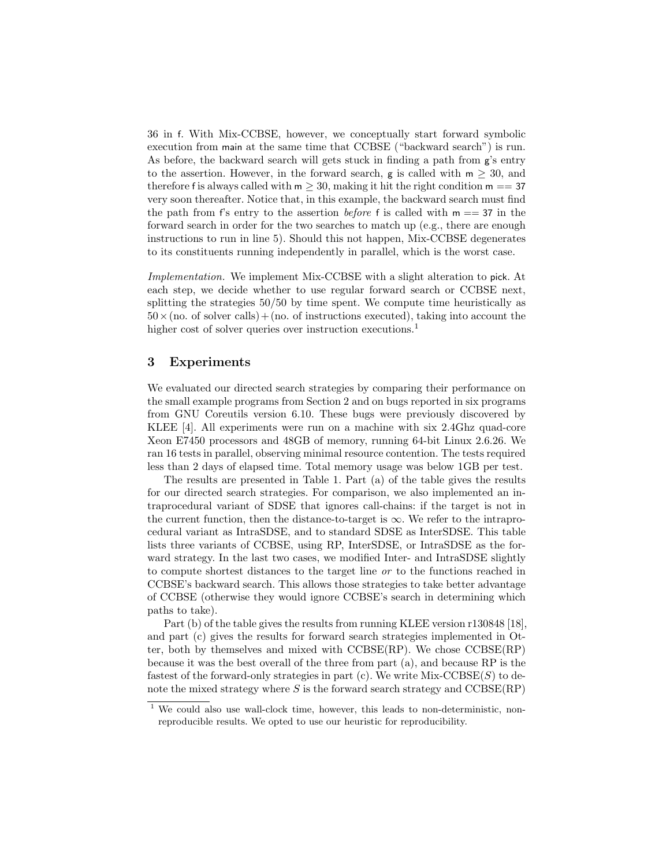36 in f. With Mix-CCBSE, however, we conceptually start forward symbolic execution from main at the same time that CCBSE ("backward search") is run. As before, the backward search will gets stuck in finding a path from g's entry to the assertion. However, in the forward search, g is called with  $m \geq 30$ , and therefore f is always called with  $m \geq 30$ , making it hit the right condition  $m == 37$ very soon thereafter. Notice that, in this example, the backward search must find the path from f's entry to the assertion before f is called with  $m = 37$  in the forward search in order for the two searches to match up (e.g., there are enough instructions to run in line 5). Should this not happen, Mix-CCBSE degenerates to its constituents running independently in parallel, which is the worst case.

Implementation. We implement Mix-CCBSE with a slight alteration to pick. At each step, we decide whether to use regular forward search or CCBSE next, splitting the strategies 50/50 by time spent. We compute time heuristically as  $50 \times$  (no. of solver calls) + (no. of instructions executed), taking into account the higher cost of solver queries over instruction executions.<sup>1</sup>

### 3 Experiments

We evaluated our directed search strategies by comparing their performance on the small example programs from Section 2 and on bugs reported in six programs from GNU Coreutils version 6.10. These bugs were previously discovered by KLEE [4]. All experiments were run on a machine with six 2.4Ghz quad-core Xeon E7450 processors and 48GB of memory, running 64-bit Linux 2.6.26. We ran 16 tests in parallel, observing minimal resource contention. The tests required less than 2 days of elapsed time. Total memory usage was below 1GB per test.

The results are presented in Table 1. Part (a) of the table gives the results for our directed search strategies. For comparison, we also implemented an intraprocedural variant of SDSE that ignores call-chains: if the target is not in the current function, then the distance-to-target is  $\infty$ . We refer to the intraprocedural variant as IntraSDSE, and to standard SDSE as InterSDSE. This table lists three variants of CCBSE, using RP, InterSDSE, or IntraSDSE as the forward strategy. In the last two cases, we modified Inter- and IntraSDSE slightly to compute shortest distances to the target line or to the functions reached in CCBSE's backward search. This allows those strategies to take better advantage of CCBSE (otherwise they would ignore CCBSE's search in determining which paths to take).

Part (b) of the table gives the results from running KLEE version r130848 [18], and part (c) gives the results for forward search strategies implemented in Otter, both by themselves and mixed with CCBSE(RP). We chose CCBSE(RP) because it was the best overall of the three from part  $(a)$ , and because RP is the fastest of the forward-only strategies in part (c). We write  $Mix-CCBSE(S)$  to denote the mixed strategy where  $S$  is the forward search strategy and  $\mathrm{CCBSE}(\mathrm{RP})$ 

<sup>1</sup> We could also use wall-clock time, however, this leads to non-deterministic, nonreproducible results. We opted to use our heuristic for reproducibility.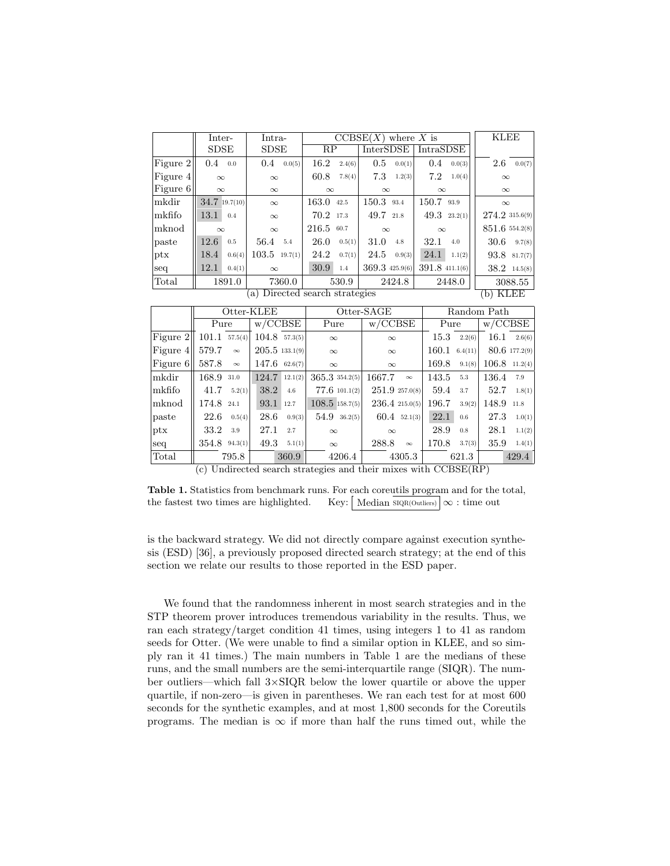|          | Inter-                            |          | Intra-               |         | $CCBSE(X)$ where X is |                  |                      |                  |                |                            | <b>KLEE</b>    |                      |  |
|----------|-----------------------------------|----------|----------------------|---------|-----------------------|------------------|----------------------|------------------|----------------|----------------------------|----------------|----------------------|--|
|          | ${\rm SDSE}$                      |          | ${\rm SDSE}$         |         | RP                    |                  | InterSDSE            |                  | IntraSDSE      |                            |                |                      |  |
| Figure 2 | 0.4                               | 0.0      | 0.4                  | 0.0(5)  | 16.2                  | 2.4(6)           | 0.5                  | 0.0(1)           | 0.4            | 0.0(3)                     | 2.6            | 0.0(7)               |  |
| Figure 4 | $\infty$                          |          | $\infty$             |         | 60.8                  | 7.8(4)           | 7.3                  | 1.2(3)           | 7.2            | 1.0(4)                     | $\infty$       |                      |  |
| Figure 6 | $\infty$                          |          | $\infty$             |         | $\infty$              |                  | $\infty$             |                  |                | $\infty$                   |                | $\infty$             |  |
| mkdir    | 34.7 19.7(10)                     |          | $\infty$             |         | 163.0 42.5            |                  | $150.3$ 93.4         |                  | 150.7 93.9     |                            | $\infty$       |                      |  |
| mkfifo   | 13.1                              | 0.4      | $\infty$             |         | 70.2                  | 17.3             | 49.7 21.8            |                  |                | $49.3$ $23.2(1)$           | 274.2 315.6(9) |                      |  |
| mknod    | $\infty$                          |          | $\infty$             |         | 216.5<br>60.7         |                  | $\infty$             |                  |                | $\infty$                   |                | 851.6 554.2(8)       |  |
| paste    | 12.6                              | 0.5      | 56.4                 | 5.4     | 26.0                  | 0.5(1)           | 31.0                 | 4.8              | 32.1           | 4.0                        | 30.6           | 9.7(8)               |  |
| ptx      | 18.4                              | 0.6(4)   | 103.5                | 19.7(1) | 24.2                  | 0.7(1)           | 24.5                 | 0.9(3)           | 24.1           | 1.1(2)                     | 93.8           | 81.7(7)              |  |
| seq      | 12.1                              | 0.4(1)   | $\infty$             |         | 30.9                  | 1.4              | 369.3425.9(6)        |                  | 391.8 411.1(6) |                            |                | $38.2$ 14.5(8)       |  |
| Total    | 1891.0                            |          | 7360.0               |         | 530.9                 |                  | 2424.8               |                  |                | 2448.0                     |                | 3088.55              |  |
|          | Directed search strategies<br>(a) |          |                      |         |                       |                  |                      |                  |                |                            | (b) KLEE       |                      |  |
|          |                                   |          | Otter-KLEE           |         |                       |                  | Otter-SAGE           |                  |                |                            |                | Random Path          |  |
|          | Pure                              |          | $\overline{w/CCBSE}$ |         | Pure                  |                  | $\overline{w/CCBSE}$ |                  |                | $\overline{\mathrm{Pure}}$ |                | $\overline{w/CCBSE}$ |  |
| Figure 2 | 101.1                             | 57.5(4)  | $104.8$ 57.3(5)      |         | $\infty$              |                  |                      | $\infty$         | 15.3           | 2.2(6)                     | 16.1           | 2.6(6)               |  |
| Figure 4 | 579.7                             | $\infty$ | 205.5133.1(9)        |         | $\infty$              |                  | $\infty$             |                  | 160.1          | 6.4(11)                    |                | 80.6 177.2(9)        |  |
| Figure 6 | 587.8                             | $\infty$ | 147.6                | 62.6(7) | $\infty$              |                  | $\infty$             |                  | 169.8          | 9.1(8)                     | 106.8          | 11.2(4)              |  |
| mkdir    | 168.9                             | 31.0     | 124.7                | 12.1(2) |                       | 365.334.2(5)     | 1667.7               | $\infty$         | 143.5          | 5.3                        | 136.4          | 7.9                  |  |
| mkfifo   | 41.7                              | 5.2(1)   | 38.2                 | 4.6     |                       | 77.6101.1(2)     |                      | 251.9257.0(8)    | 59.4           | 3.7                        | 52.7           | 1.8(1)               |  |
| mknod    | 174.8                             | 24.1     | 93.1                 | 12.7    |                       | $108.5$ 158.7(5) |                      | 236.4215.0(5)    | 196.7          | 3.9(2)                     | 148.9          | 11.8                 |  |
| paste    | 22.6                              | 0.5(4)   | 28.6                 | 0.9(3)  |                       | 54.9 36.2(5)     |                      | $60.4$ $52.1(3)$ | 22.1           | 0.6                        | 27.3           | 1.0(1)               |  |
| ptx      | 33.2                              | 3.9      | 27.1                 | 2.7     | $\infty$              |                  |                      | $\infty$         | 28.9           | 0.8                        | 28.1           | 1.1(2)               |  |
| seq      | 354.8                             | 94.3(1)  | 49.3                 | 5.1(1)  | $\infty$              |                  | 288.8                | $\infty$         | 170.8          | 3.7(3)                     | 35.9           | 1.4(1)               |  |
| Total    | 795.8                             |          | 360.9                |         | 4206.4                |                  | 4305.3               |                  |                | 621.3                      |                | 429.4                |  |

(c) Undirected search strategies and their mixes with CCBSE(RP)

Table 1. Statistics from benchmark runs. For each coreutils program and for the total, the fastest two times are highlighted. Key: Median  $\text{SQR}(\text{Outliers}) \propto : \text{time out}$ 

is the backward strategy. We did not directly compare against execution synthesis (ESD) [36], a previously proposed directed search strategy; at the end of this section we relate our results to those reported in the ESD paper.

We found that the randomness inherent in most search strategies and in the STP theorem prover introduces tremendous variability in the results. Thus, we ran each strategy/target condition 41 times, using integers 1 to 41 as random seeds for Otter. (We were unable to find a similar option in KLEE, and so simply ran it 41 times.) The main numbers in Table 1 are the medians of these runs, and the small numbers are the semi-interquartile range (SIQR). The number outliers—which fall 3×SIQR below the lower quartile or above the upper quartile, if non-zero—is given in parentheses. We ran each test for at most 600 seconds for the synthetic examples, and at most 1,800 seconds for the Coreutils programs. The median is  $\infty$  if more than half the runs timed out, while the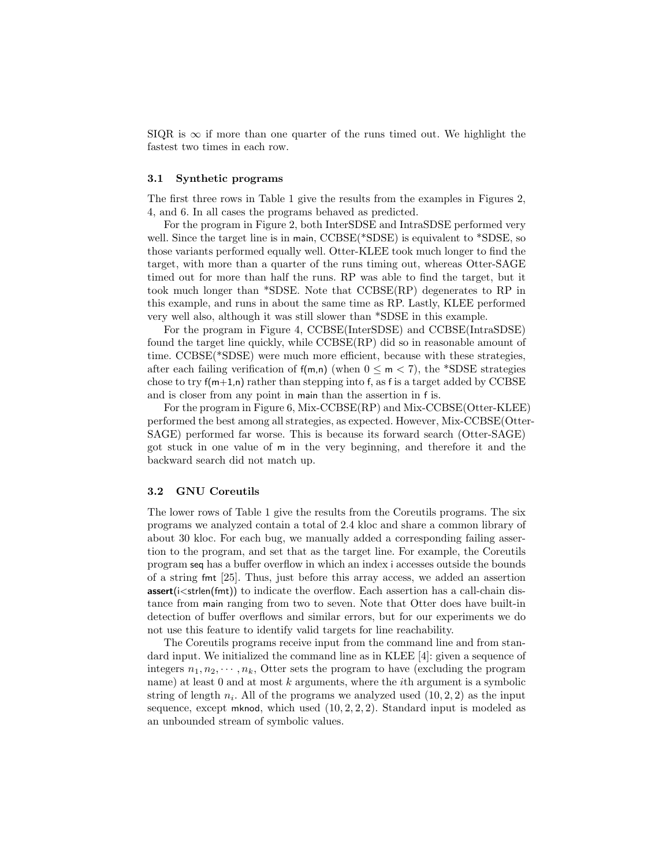SIQR is  $\infty$  if more than one quarter of the runs timed out. We highlight the fastest two times in each row.

### 3.1 Synthetic programs

The first three rows in Table 1 give the results from the examples in Figures 2, 4, and 6. In all cases the programs behaved as predicted.

For the program in Figure 2, both InterSDSE and IntraSDSE performed very well. Since the target line is in main, CCBSE(\*SDSE) is equivalent to \*SDSE, so those variants performed equally well. Otter-KLEE took much longer to find the target, with more than a quarter of the runs timing out, whereas Otter-SAGE timed out for more than half the runs. RP was able to find the target, but it took much longer than \*SDSE. Note that CCBSE(RP) degenerates to RP in this example, and runs in about the same time as RP. Lastly, KLEE performed very well also, although it was still slower than \*SDSE in this example.

For the program in Figure 4, CCBSE(InterSDSE) and CCBSE(IntraSDSE) found the target line quickly, while CCBSE(RP) did so in reasonable amount of time. CCBSE(\*SDSE) were much more efficient, because with these strategies, after each failing verification of  $f(m,n)$  (when  $0 \le m \le 7$ ), the \*SDSE strategies chose to try  $f(m+1,n)$  rather than stepping into f, as f is a target added by CCBSE and is closer from any point in main than the assertion in f is.

For the program in Figure 6, Mix-CCBSE(RP) and Mix-CCBSE(Otter-KLEE) performed the best among all strategies, as expected. However, Mix-CCBSE(Otter-SAGE) performed far worse. This is because its forward search (Otter-SAGE) got stuck in one value of m in the very beginning, and therefore it and the backward search did not match up.

#### 3.2 GNU Coreutils

The lower rows of Table 1 give the results from the Coreutils programs. The six programs we analyzed contain a total of 2.4 kloc and share a common library of about 30 kloc. For each bug, we manually added a corresponding failing assertion to the program, and set that as the target line. For example, the Coreutils program seq has a buffer overflow in which an index i accesses outside the bounds of a string fmt [25]. Thus, just before this array access, we added an assertion  $assert(i < strlen(fmt))$  to indicate the overflow. Each assertion has a call-chain distance from main ranging from two to seven. Note that Otter does have built-in detection of buffer overflows and similar errors, but for our experiments we do not use this feature to identify valid targets for line reachability.

The Coreutils programs receive input from the command line and from standard input. We initialized the command line as in KLEE [4]: given a sequence of integers  $n_1, n_2, \dots, n_k$ , Otter sets the program to have (excluding the program name) at least  $0$  and at most  $k$  arguments, where the *i*th argument is a symbolic string of length  $n_i$ . All of the programs we analyzed used  $(10, 2, 2)$  as the input sequence, except mknod, which used  $(10, 2, 2, 2)$ . Standard input is modeled as an unbounded stream of symbolic values.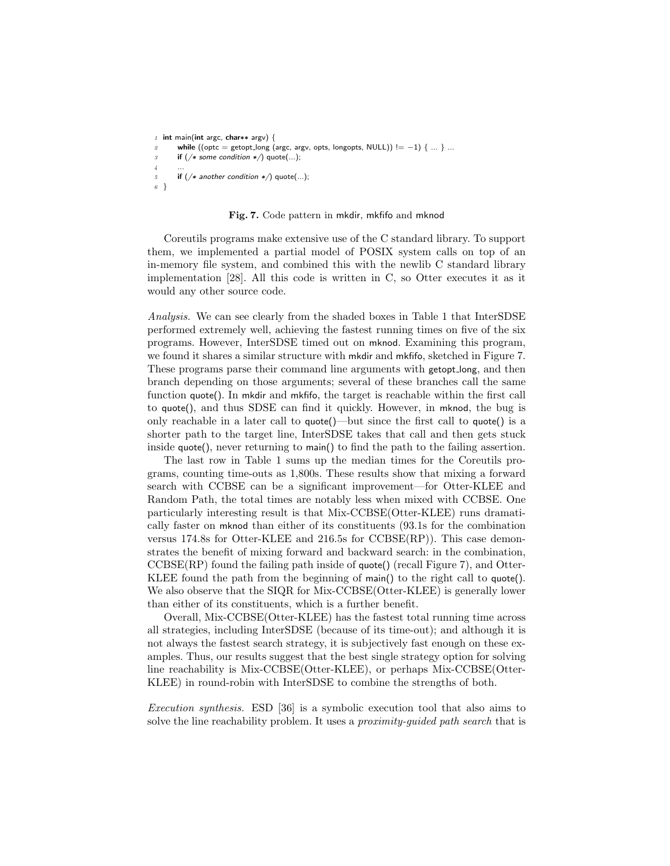```
1 int main(int argc, char∗∗ argv) {
2 while ((\text{optc} = \text{getopt\_long}(\text{args}, \text{args}, \text{obs}, \text{longopts}, \text{NULL})) := -1) \{ ... \} ...3 if (\n \ast some condition \ast \land quote(...);
\overline{A}5 if (/* another condition */) quote(...);
6 }
```
### Fig. 7. Code pattern in mkdir, mkfifo and mknod

Coreutils programs make extensive use of the C standard library. To support them, we implemented a partial model of POSIX system calls on top of an in-memory file system, and combined this with the newlib C standard library implementation [28]. All this code is written in C, so Otter executes it as it would any other source code.

Analysis. We can see clearly from the shaded boxes in Table 1 that InterSDSE performed extremely well, achieving the fastest running times on five of the six programs. However, InterSDSE timed out on mknod. Examining this program, we found it shares a similar structure with mkdir and mkfifo, sketched in Figure 7. These programs parse their command line arguments with getopt long, and then branch depending on those arguments; several of these branches call the same function quote(). In mkdir and mkfifo, the target is reachable within the first call to quote(), and thus SDSE can find it quickly. However, in mknod, the bug is only reachable in a later call to quote()—but since the first call to quote() is a shorter path to the target line, InterSDSE takes that call and then gets stuck inside quote(), never returning to main() to find the path to the failing assertion.

The last row in Table 1 sums up the median times for the Coreutils programs, counting time-outs as 1,800s. These results show that mixing a forward search with CCBSE can be a significant improvement—for Otter-KLEE and Random Path, the total times are notably less when mixed with CCBSE. One particularly interesting result is that Mix-CCBSE(Otter-KLEE) runs dramatically faster on mknod than either of its constituents (93.1s for the combination versus 174.8s for Otter-KLEE and 216.5s for CCBSE(RP)). This case demonstrates the benefit of mixing forward and backward search: in the combination,  $CCBSE(RP)$  found the failing path inside of quote() (recall Figure 7), and Otter-KLEE found the path from the beginning of main() to the right call to quote(). We also observe that the SIQR for Mix-CCBSE(Otter-KLEE) is generally lower than either of its constituents, which is a further benefit.

Overall, Mix-CCBSE(Otter-KLEE) has the fastest total running time across all strategies, including InterSDSE (because of its time-out); and although it is not always the fastest search strategy, it is subjectively fast enough on these examples. Thus, our results suggest that the best single strategy option for solving line reachability is Mix-CCBSE(Otter-KLEE), or perhaps Mix-CCBSE(Otter-KLEE) in round-robin with InterSDSE to combine the strengths of both.

Execution synthesis. ESD [36] is a symbolic execution tool that also aims to solve the line reachability problem. It uses a *proximity-quided path search* that is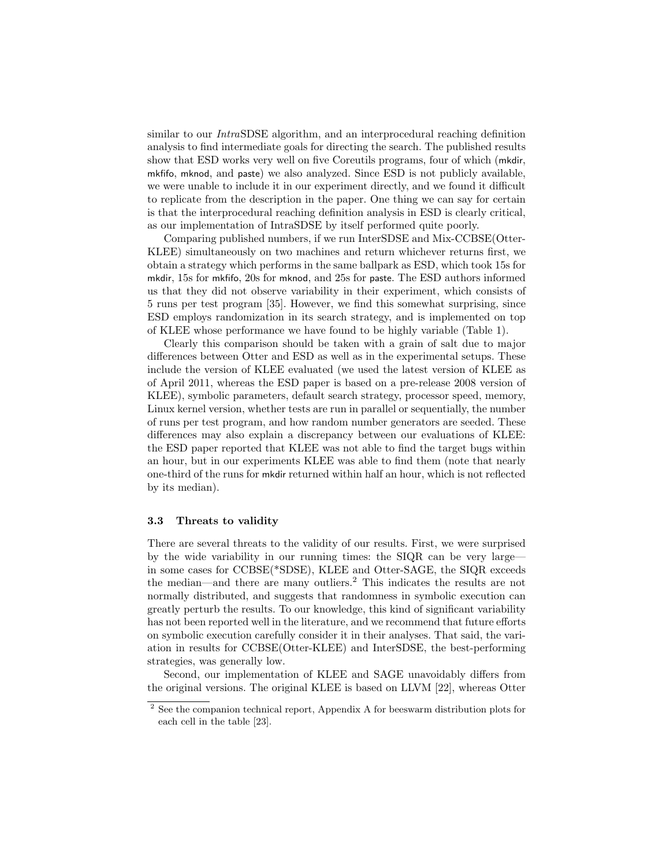similar to our *IntraSDSE* algorithm, and an interprocedural reaching definition analysis to find intermediate goals for directing the search. The published results show that ESD works very well on five Coreutils programs, four of which (mkdir, mkfifo, mknod, and paste) we also analyzed. Since ESD is not publicly available, we were unable to include it in our experiment directly, and we found it difficult to replicate from the description in the paper. One thing we can say for certain is that the interprocedural reaching definition analysis in ESD is clearly critical, as our implementation of IntraSDSE by itself performed quite poorly.

Comparing published numbers, if we run InterSDSE and Mix-CCBSE(Otter-KLEE) simultaneously on two machines and return whichever returns first, we obtain a strategy which performs in the same ballpark as ESD, which took 15s for mkdir, 15s for mkfifo, 20s for mknod, and 25s for paste. The ESD authors informed us that they did not observe variability in their experiment, which consists of 5 runs per test program [35]. However, we find this somewhat surprising, since ESD employs randomization in its search strategy, and is implemented on top of KLEE whose performance we have found to be highly variable (Table 1).

Clearly this comparison should be taken with a grain of salt due to major differences between Otter and ESD as well as in the experimental setups. These include the version of KLEE evaluated (we used the latest version of KLEE as of April 2011, whereas the ESD paper is based on a pre-release 2008 version of KLEE), symbolic parameters, default search strategy, processor speed, memory, Linux kernel version, whether tests are run in parallel or sequentially, the number of runs per test program, and how random number generators are seeded. These differences may also explain a discrepancy between our evaluations of KLEE: the ESD paper reported that KLEE was not able to find the target bugs within an hour, but in our experiments KLEE was able to find them (note that nearly one-third of the runs for mkdir returned within half an hour, which is not reflected by its median).

#### 3.3 Threats to validity

There are several threats to the validity of our results. First, we were surprised by the wide variability in our running times: the SIQR can be very large in some cases for CCBSE(\*SDSE), KLEE and Otter-SAGE, the SIQR exceeds the median—and there are many outliers.<sup>2</sup> This indicates the results are not normally distributed, and suggests that randomness in symbolic execution can greatly perturb the results. To our knowledge, this kind of significant variability has not been reported well in the literature, and we recommend that future efforts on symbolic execution carefully consider it in their analyses. That said, the variation in results for CCBSE(Otter-KLEE) and InterSDSE, the best-performing strategies, was generally low.

Second, our implementation of KLEE and SAGE unavoidably differs from the original versions. The original KLEE is based on LLVM [22], whereas Otter

<sup>2</sup> See the companion technical report, Appendix A for beeswarm distribution plots for each cell in the table [23].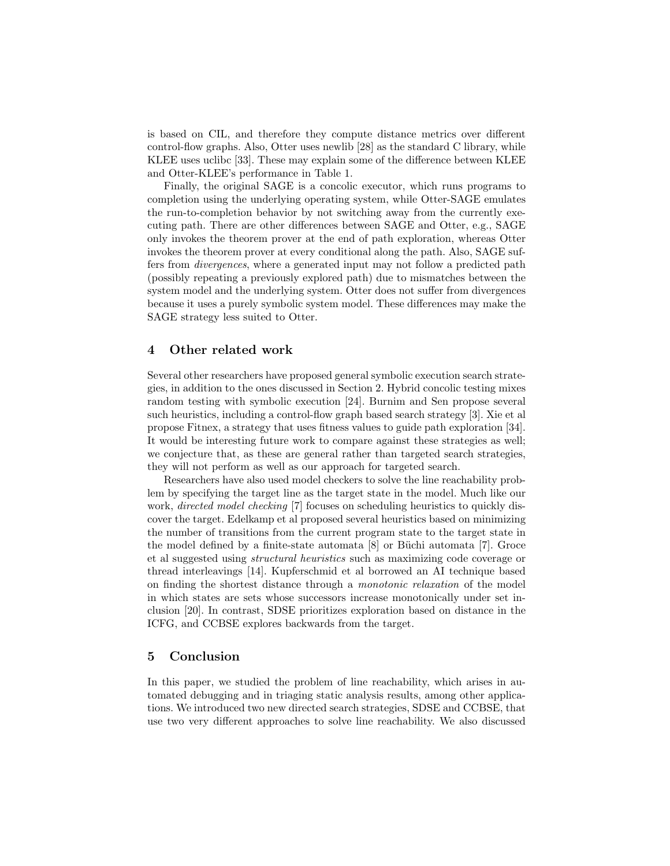is based on CIL, and therefore they compute distance metrics over different control-flow graphs. Also, Otter uses newlib [28] as the standard C library, while KLEE uses uclibc [33]. These may explain some of the difference between KLEE and Otter-KLEE's performance in Table 1.

Finally, the original SAGE is a concolic executor, which runs programs to completion using the underlying operating system, while Otter-SAGE emulates the run-to-completion behavior by not switching away from the currently executing path. There are other differences between SAGE and Otter, e.g., SAGE only invokes the theorem prover at the end of path exploration, whereas Otter invokes the theorem prover at every conditional along the path. Also, SAGE suffers from divergences, where a generated input may not follow a predicted path (possibly repeating a previously explored path) due to mismatches between the system model and the underlying system. Otter does not suffer from divergences because it uses a purely symbolic system model. These differences may make the SAGE strategy less suited to Otter.

## 4 Other related work

Several other researchers have proposed general symbolic execution search strategies, in addition to the ones discussed in Section 2. Hybrid concolic testing mixes random testing with symbolic execution [24]. Burnim and Sen propose several such heuristics, including a control-flow graph based search strategy [3]. Xie et al propose Fitnex, a strategy that uses fitness values to guide path exploration [34]. It would be interesting future work to compare against these strategies as well; we conjecture that, as these are general rather than targeted search strategies, they will not perform as well as our approach for targeted search.

Researchers have also used model checkers to solve the line reachability problem by specifying the target line as the target state in the model. Much like our work, *directed model checking* [7] focuses on scheduling heuristics to quickly discover the target. Edelkamp et al proposed several heuristics based on minimizing the number of transitions from the current program state to the target state in the model defined by a finite-state automata  $[8]$  or Büchi automata  $[7]$ . Groce et al suggested using structural heuristics such as maximizing code coverage or thread interleavings [14]. Kupferschmid et al borrowed an AI technique based on finding the shortest distance through a monotonic relaxation of the model in which states are sets whose successors increase monotonically under set inclusion [20]. In contrast, SDSE prioritizes exploration based on distance in the ICFG, and CCBSE explores backwards from the target.

# 5 Conclusion

In this paper, we studied the problem of line reachability, which arises in automated debugging and in triaging static analysis results, among other applications. We introduced two new directed search strategies, SDSE and CCBSE, that use two very different approaches to solve line reachability. We also discussed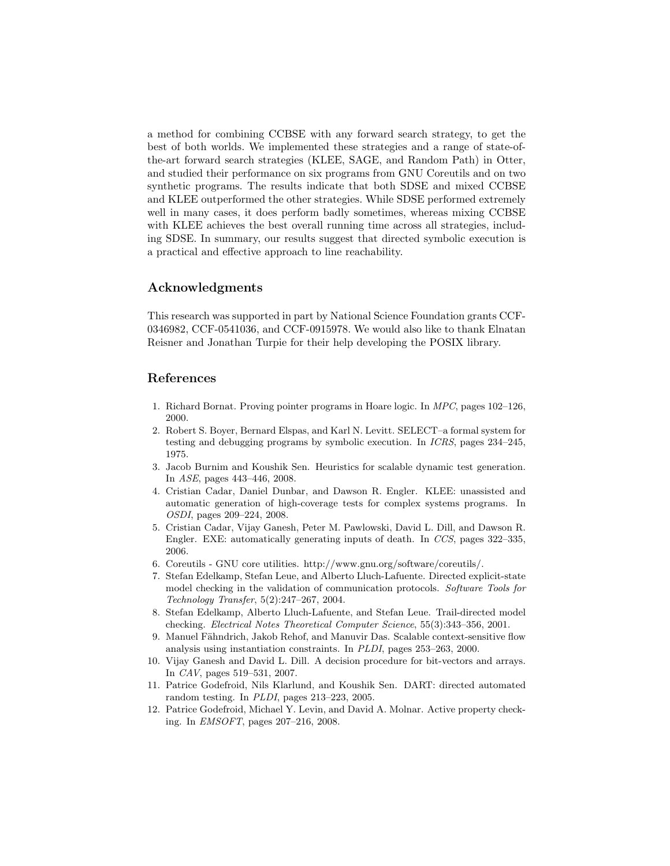a method for combining CCBSE with any forward search strategy, to get the best of both worlds. We implemented these strategies and a range of state-ofthe-art forward search strategies (KLEE, SAGE, and Random Path) in Otter, and studied their performance on six programs from GNU Coreutils and on two synthetic programs. The results indicate that both SDSE and mixed CCBSE and KLEE outperformed the other strategies. While SDSE performed extremely well in many cases, it does perform badly sometimes, whereas mixing CCBSE with KLEE achieves the best overall running time across all strategies, including SDSE. In summary, our results suggest that directed symbolic execution is a practical and effective approach to line reachability.

# Acknowledgments

This research was supported in part by National Science Foundation grants CCF-0346982, CCF-0541036, and CCF-0915978. We would also like to thank Elnatan Reisner and Jonathan Turpie for their help developing the POSIX library.

## References

- 1. Richard Bornat. Proving pointer programs in Hoare logic. In MPC, pages 102–126, 2000.
- 2. Robert S. Boyer, Bernard Elspas, and Karl N. Levitt. SELECT–a formal system for testing and debugging programs by symbolic execution. In ICRS, pages 234–245, 1975.
- 3. Jacob Burnim and Koushik Sen. Heuristics for scalable dynamic test generation. In ASE, pages 443–446, 2008.
- 4. Cristian Cadar, Daniel Dunbar, and Dawson R. Engler. KLEE: unassisted and automatic generation of high-coverage tests for complex systems programs. In OSDI, pages 209–224, 2008.
- 5. Cristian Cadar, Vijay Ganesh, Peter M. Pawlowski, David L. Dill, and Dawson R. Engler. EXE: automatically generating inputs of death. In CCS, pages 322–335, 2006.
- 6. Coreutils GNU core utilities. http://www.gnu.org/software/coreutils/.
- 7. Stefan Edelkamp, Stefan Leue, and Alberto Lluch-Lafuente. Directed explicit-state model checking in the validation of communication protocols. Software Tools for Technology Transfer, 5(2):247–267, 2004.
- 8. Stefan Edelkamp, Alberto Lluch-Lafuente, and Stefan Leue. Trail-directed model checking. Electrical Notes Theoretical Computer Science, 55(3):343–356, 2001.
- 9. Manuel Fähndrich, Jakob Rehof, and Manuvir Das. Scalable context-sensitive flow analysis using instantiation constraints. In PLDI, pages 253–263, 2000.
- 10. Vijay Ganesh and David L. Dill. A decision procedure for bit-vectors and arrays. In CAV, pages 519–531, 2007.
- 11. Patrice Godefroid, Nils Klarlund, and Koushik Sen. DART: directed automated random testing. In PLDI, pages 213–223, 2005.
- 12. Patrice Godefroid, Michael Y. Levin, and David A. Molnar. Active property checking. In EMSOFT, pages 207–216, 2008.